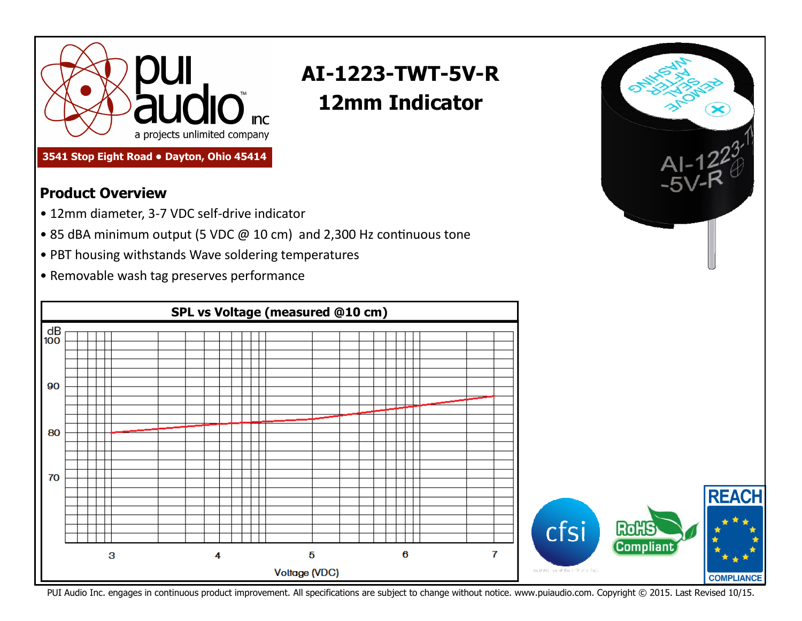

## **AI-1223-TWT-5V-R 12mm Indicator**

 $Al-122^3$ 

**3541 Stop Eight Road • Dayton, Ohio 45414** 

## **Product Overview**

- 12mm diameter, 3-7 VDC self-drive indicator
- 85 dBA minimum output (5 VDC  $@10$  cm) and 2,300 Hz continuous tone
- PBT housing withstands Wave soldering temperatures
- Removable wash tag preserves performance



PUI Audio Inc. engages in continuous product improvement. All specifications are subject to change without notice. www.puiaudio.com. Copyright © 2015. Last Revised 10/15.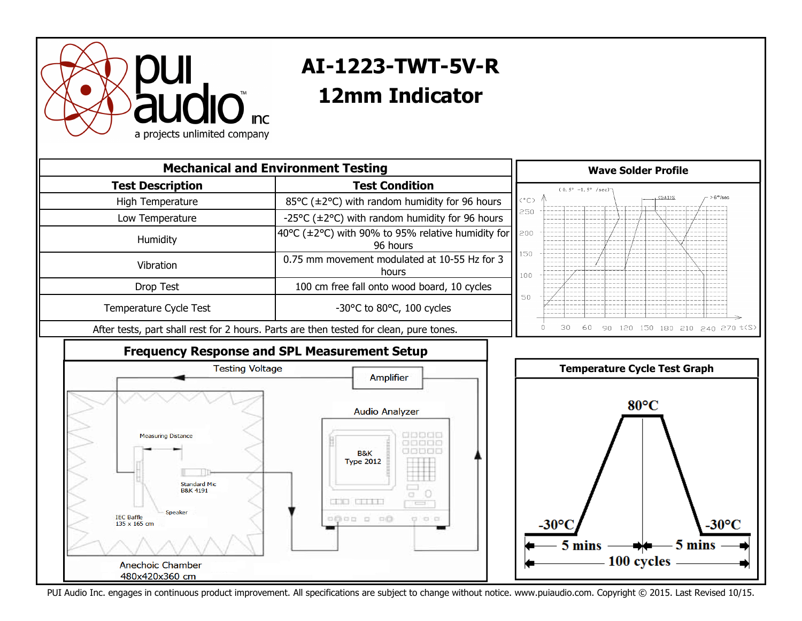

## **AI-1223-TWT-5V-R 40mm Speaker 12mm Indicator**



PUI Audio Inc. engages in continuous product improvement. All specifications are subject to change without notice. www.puiaudio.com. Copyright © 2015. Last Revised 10/15.